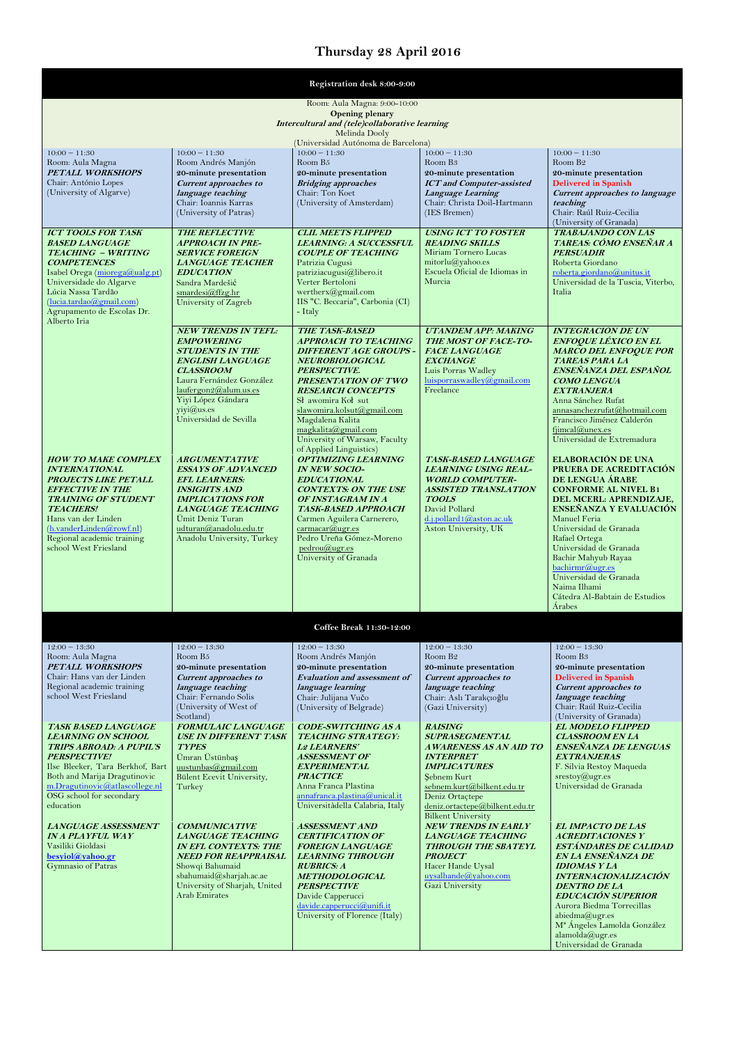## **Thursday 28 April 2016**

| Registration desk 8:00-9:00                                                                                                                                                                                                                                              |                                                                                                                                                                                                                                             |                                                                                                                                                                                                                                                                                                                                               |                                                                                                                                                                                                                                             |                                                                                                                                                                                                                                                                                                                                                                                 |
|--------------------------------------------------------------------------------------------------------------------------------------------------------------------------------------------------------------------------------------------------------------------------|---------------------------------------------------------------------------------------------------------------------------------------------------------------------------------------------------------------------------------------------|-----------------------------------------------------------------------------------------------------------------------------------------------------------------------------------------------------------------------------------------------------------------------------------------------------------------------------------------------|---------------------------------------------------------------------------------------------------------------------------------------------------------------------------------------------------------------------------------------------|---------------------------------------------------------------------------------------------------------------------------------------------------------------------------------------------------------------------------------------------------------------------------------------------------------------------------------------------------------------------------------|
| Room: Aula Magna: 9:00-10:00<br><b>Opening plenary</b><br>Intercultural and (tele)collaborative learning<br>Melinda Dooly<br>(Universidad Autónoma de Barcelona)                                                                                                         |                                                                                                                                                                                                                                             |                                                                                                                                                                                                                                                                                                                                               |                                                                                                                                                                                                                                             |                                                                                                                                                                                                                                                                                                                                                                                 |
| $10:00 - 11:30$<br>Room: Aula Magna<br><b>PETALL WORKSHOPS</b><br>Chair: António Lopes<br>(University of Algarve)                                                                                                                                                        | $10:00 - 11:30$<br>Room Andrés Manjón<br>20-minute presentation<br><b>Current approaches to</b><br>language teaching<br>Chair: Ioannis Karras<br>(University of Patras)                                                                     | $10:00 - 11:30$<br>Room B <sub>5</sub><br>20-minute presentation<br><b>Bridging approaches</b><br>Chair: Ton Koet<br>(University of Amsterdam)                                                                                                                                                                                                | $10:00 - 11:30$<br>Room B <sub>3</sub><br>20-minute presentation<br><b>ICT</b> and Computer-assisted<br>Language Learning<br>Chair: Christa Doil-Hartmann<br>(IES Bremen)                                                                   | $10:00 - 11:30$<br>Room B <sub>2</sub><br>20-minute presentation<br><b>Delivered in Spanish</b><br>Current approaches to language<br>teaching<br>Chair: Raúl Ruiz-Cecilia<br>(University of Granada)                                                                                                                                                                            |
| <b>ICT TOOLS FOR TASK</b><br><b>BASED LANGUAGE</b><br><b>TEACHING - WRITING</b><br><b>COMPETENCES</b><br>Isabel Orega (miorega@ualg.pt)<br>Universidade do Algarve<br>Lúcia Nassa Tardão<br>(lucia.tardao@gmail.com)<br>Agrupamento de Escolas Dr.<br>Alberto Iria       | <b>THE REFLECTIVE</b><br><b>APPROACH IN PRE-</b><br><b>SERVICE FOREIGN</b><br><b>LANGUAGE TEACHER</b><br><b>EDUCATION</b><br>Sandra Mardešić<br>smardesi@ffzg.hr<br>University of Zagreb                                                    | <b>CLIL MEETS FLIPPED</b><br><b>LEARNING: A SUCCESSFUL</b><br><b>COUPLE OF TEACHING</b><br>Patrizia Cugusi<br>patriziacugusi@libero.it<br>Verter Bertoloni<br>wertherx@gmail.com<br>IIS "C. Beccaria", Carbonia (CI)<br>- Italy                                                                                                               | <b>USING ICT TO FOSTER</b><br><b>READING SKILLS</b><br>Miriam Tornero Lucas<br>mitorlu(Qyahoo. es<br>Escuela Oficial de Idiomas in<br>Murcia                                                                                                | <b>TRABAJANDO CON LAS</b><br>TAREAS: CÓMO ENSEÑAR A<br><b>PERSUADIR</b><br>Roberta Giordano<br>roberta.giordano@unitus.it<br>Universidad de la Tuscia, Viterbo,<br>Italia                                                                                                                                                                                                       |
|                                                                                                                                                                                                                                                                          | <b>NEW TRENDS IN TEFL:</b><br><b>EMPOWERING</b><br><b>STUDENTS IN THE</b><br><b>ENGLISH LANGUAGE</b><br><b>CLASSROOM</b><br>Laura Fernández González<br>laufergon2@alum.us.es<br>Yiyi López Gándara<br>yiyi@us.es<br>Universidad de Sevilla | <b>THE TASK-BASED</b><br><b>APPROACH TO TEACHING</b><br><b>DIFFERENT AGE GROUPS -</b><br><b>NEUROBIOLOGICAL</b><br>PERSPECTIVE.<br>PRESENTATION OF TWO<br><b>RESEARCH CONCEPTS</b><br>Sł awomira Koł sut<br>slawomira.kolsut@gmail.com<br>Magdalena Kalita<br>magkalita@gmail.com<br>University of Warsaw, Faculty<br>of Applied Linguistics) | <b>UTANDEM APP: MAKING</b><br><b>THE MOST OF FACE-TO-</b><br><b>FACE LANGUAGE</b><br><b>EXCHANGE</b><br>Luis Porras Wadley<br>luisporraswadley@gmail.com<br>Freelance                                                                       | <b>INTEGRACIÓN DE UN</b><br><b>ENFOQUE LÉXICO EN EL</b><br><b>MARCO DEL ENFOQUE POR</b><br><b>TAREAS PARA LA</b><br>ENSEÑANZA DEL ESPAÑOL<br><b>COMO LENGUA</b><br><b>EXTRANJERA</b><br>Anna Sánchez Rufat<br>annasanchezrufat@hotmail.com<br>Francisco Jiménez Calderón<br>filmcal@unex.es<br>Universidad de Extremadura                                                       |
| <b>HOW TO MAKE COMPLEX</b><br><b>INTERNATIONAL</b><br><b>PROJECTS LIKE PETALL</b><br><b>EFFECTIVE IN THE</b><br><b>TRAINING OF STUDENT</b><br><b>TEACHERS!</b><br>Hans van der Linden<br>(h.vanderLinden@rowf.nl)<br>Regional academic training<br>school West Friesland | <b>ARGUMENTATIVE</b><br><b>ESSAYS OF ADVANCED</b><br><b>EFL LEARNERS:</b><br><b>INSIGHTS AND</b><br><b>IMPLICATIONS FOR</b><br><b>LANGUAGE TEACHING</b><br>Ümit Deniz Turan<br>udturan@anadolu.edu.tr<br>Anadolu University, Turkey         | <b>OPTIMIZING LEARNING</b><br><b>IN NEW SOCIO-</b><br><b>EDUCATIONAL</b><br><b>CONTEXTS: ON THE USE</b><br>OF INSTAGRAM IN A<br><b>TASK-BASED APPROACH</b><br>Carmen Aguilera Carnerero,<br>carmacar@ugr.es<br>Pedro Ureña Gómez-Moreno<br>pedrou@ugr.es<br>University of Granada                                                             | <b>TASK-BASED LANGUAGE</b><br><b>LEARNING USING REAL-</b><br><b>WORLD COMPUTER-</b><br><b>ASSISTED TRANSLATION</b><br><b>TOOLS</b><br>David Pollard<br>d.j.pollard1@aston.ac.uk<br>Aston University, UK                                     | ELABORACIÓN DE UNA<br>PRUEBA DE ACREDITACIÓN<br>DE LENGUA ÁRABE<br><b>CONFORME AL NIVEL B1</b><br>DEL MCERL: APRENDIZAJE,<br>ENSEÑANZA Y EVALUACIÓN<br>Manuel Feria<br>Universidad de Granada<br>Rafael Ortega<br>Universidad de Granada<br>Bachir Mahyub Rayaa<br>bachirmr@ugr.es<br>Universidad de Granada<br>Naima Ilhami<br>Cátedra Al-Babtain de Estudios<br><b>Árabes</b> |
|                                                                                                                                                                                                                                                                          |                                                                                                                                                                                                                                             | Coffee Break 11:30-12:00                                                                                                                                                                                                                                                                                                                      |                                                                                                                                                                                                                                             |                                                                                                                                                                                                                                                                                                                                                                                 |
| $12:00 - 13:30$<br>Room: Aula Magna<br><b>PETALL WORKSHOPS</b><br>Chair: Hans van der Linden<br>Regional academic training<br>school West Friesland                                                                                                                      | $12:00 - 13:30$<br>Room B <sub>5</sub><br>20-minute presentation<br><b>Current approaches to</b><br>language teaching<br>Chair: Fernando Solis<br>(University of West of<br>Scotland)                                                       | $12:00 - 13:30$<br>Room Andrés Manjón<br>20-minute presentation<br><b>Evaluation and assessment of</b><br>language learning<br>Chair: Julijana Vučo<br>(University of Belgrade)                                                                                                                                                               | $12:00 - 13:30$<br>Room B <sub>2</sub><br>20-minute presentation<br><b>Current approaches to</b><br>language teaching<br>Chair: Aslı Tarakçıoğlu<br>(Gazi University)                                                                       | $12:00 - 13:30$<br>Room B <sub>3</sub><br>20-minute presentation<br><b>Delivered in Spanish</b><br><b>Current approaches to</b><br>language teaching<br>Chair: Raúl Ruiz-Cecilia<br>(University of Granada)                                                                                                                                                                     |
| <b>TASK BASED LANGUAGE</b><br><b>LEARNING ON SCHOOL</b><br><b>TRIPS ABROAD: A PUPIL'S</b><br><b>PERSPECTIVE!</b><br>Ilse Bleeker, Tara Berkhof, Bart<br>Both and Marija Dragutinovic<br>m.Dragutinovic@atlascollege.nl<br>OSG school for secondary<br>education          | <b>FORMULAIC LANGUAGE</b><br><b>USE IN DIFFERENT TASK</b><br><b>TYPES</b><br>Ümran Üstünbaş<br>uustunbas@gmail.com<br><b>Bülent Ecevit University,</b><br>Turkey                                                                            | <b>CODE-SWITCHING AS A</b><br><b>TEACHING STRATEGY:</b><br><b>L2 LEARNERS'</b><br><b>ASSESSMENT OF</b><br><b>EXPERIMENTAL</b><br><b>PRACTICE</b><br>Anna Franca Plastina<br>annafranca.plastina@unical.it<br>Universitàdella Calabria, Italy                                                                                                  | <b>RAISING</b><br><b>SUPRASEGMENTAL</b><br>AWARENESS AS AN AID TO<br><b>INTERPRET</b><br><b>IMPLICATURES</b><br>Şebnem Kurt<br>sebnem.kurt@bilkent.edu.tr<br>Deniz Ortaçtepe<br>deniz.ortactepe@bilkent.edu.tr<br><b>Bilkent University</b> | <b>EL MODELO FLIPPED</b><br><b>CLASSROOM EN LA</b><br>ENSEÑANZA DE LENGUAS<br><b>EXTRANJERAS</b><br>F. Silvia Restoy Maqueda<br>$s$ restoy $@$ ugr.es<br>Universidad de Granada                                                                                                                                                                                                 |
| LANGUAGE ASSESSMENT<br><b>IN A PLAYFUL WAY</b><br>Vasiliki Gioldasi<br>besyiol@yahoo.gr<br>Gymnasio of Patras                                                                                                                                                            | <b>COMMUNICATIVE</b><br><b>LANGUAGE TEACHING</b><br><b>IN EFL CONTEXTS: THE</b><br>NEED FOR REAPPRAISAL<br>Showqi Bahumaid<br>sbahumaid@sharjah.ac.ae<br>University of Sharjah, United<br><b>Arab Emirates</b>                              | <b>ASSESSMENT AND</b><br><b>CERTIFICATION OF</b><br><b>FOREIGN LANGUAGE</b><br><i><b>LEARNING THROUGH</b></i><br><b>RUBRICS: A</b><br><b>METHODOLOGICAL</b><br><b>PERSPECTIVE</b><br>Davide Capperucci<br>davide.capperucci@unifi.it<br>University of Florence (Italy)                                                                        | <b>NEW TRENDS IN EARLY</b><br><b>LANGUAGE TEACHING</b><br><b>THROUGH THE SBATEYL</b><br><i>PROJECT</i><br>Hacer Hande Uysal<br>uysalhande@yahoo.com<br>Gazi University                                                                      | <b>EL IMPACTO DE LAS</b><br><b>ACREDITACIONES Y</b><br><b>ESTÁNDARES DE CALIDAD</b><br>EN LA ENSEÑANZA DE<br><b>IDIOMAS Y LA</b><br><b>INTERNACIONALIZACIÓN</b><br><b>DENTRO DE LA</b><br><b>EDUCACIÓN SUPERIOR</b><br>Aurora Biedma Torrecillas<br>abiedma@ugr.es<br>M <sup>ª</sup> Ángeles Lamolda González<br>alamolda@ugr.es<br>Universidad de Granada                      |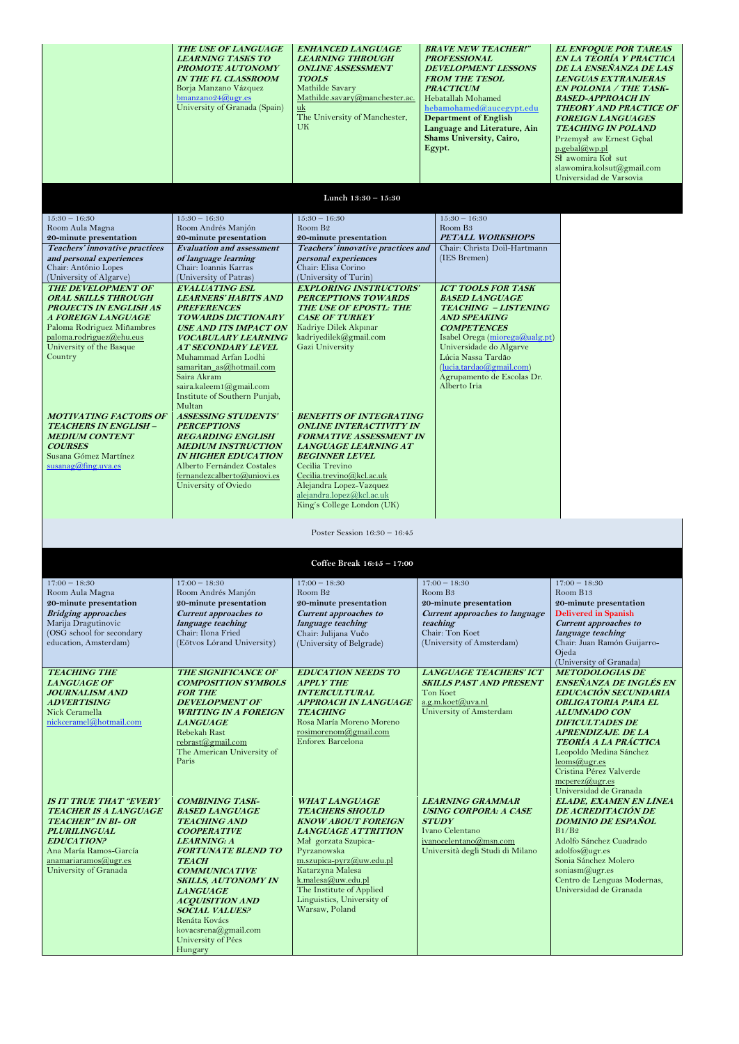|                                                                                                                                                                                                                                                                                                                                                                                            | THE USE OF LANGUAGE<br><b>LEARNING TASKS TO</b><br>PROMOTE AUTONOMY<br><b>IN THE FL CLASSROOM</b><br>Borja Manzano Vázquez<br>$b$ manzano24@ugr.es<br>University of Granada (Spain)                                                                                                                                                                                                                                                                                                                                                                                      | <b>ENHANCED LANGUAGE</b><br><b>LEARNING THROUGH</b><br><b>ONLINE ASSESSMENT</b><br><b>TOOLS</b><br>Mathilde Savary<br>Mathilde.savary@manchester.ac.<br>uk<br>The University of Manchester,<br>UK.                                                                                                                                                                                                                                                                         | <b>BRAVE NEW TEACHER!"</b><br><b>PROFESSIONAL</b><br><b>DEVELOPMENT LESSONS</b><br><b>FROM THE TESOL</b><br><b>PRACTICUM</b><br>Hebatallah Mohamed<br>hebamohamed@aucegypt.edu<br><b>Department of English</b><br>Language and Literature, Ain<br>Shams University, Cairo,<br>Egypt.        | <b>EL ENFOQUE POR TAREAS</b><br>EN LA TEORÍA Y PRACTICA<br>DE LA ENSEÑANZA DE LAS<br><b>LENGUAS EXTRANJERAS</b><br><b>EN POLONIA / THE TASK-</b><br><b>BASED-APPROACHIN</b><br><b>THEORY AND PRACTICE OF</b><br><b>FOREIGN LANGUAGES</b><br><b>TEACHING IN POLAND</b><br>Przemysł aw Ernest Gębal<br>$p.$ gebal $@$ wp.pl<br>Sł awomira Koł sut<br>slawomira.kolsut@gmail.com<br>Universidad de Varsovia |
|--------------------------------------------------------------------------------------------------------------------------------------------------------------------------------------------------------------------------------------------------------------------------------------------------------------------------------------------------------------------------------------------|--------------------------------------------------------------------------------------------------------------------------------------------------------------------------------------------------------------------------------------------------------------------------------------------------------------------------------------------------------------------------------------------------------------------------------------------------------------------------------------------------------------------------------------------------------------------------|----------------------------------------------------------------------------------------------------------------------------------------------------------------------------------------------------------------------------------------------------------------------------------------------------------------------------------------------------------------------------------------------------------------------------------------------------------------------------|---------------------------------------------------------------------------------------------------------------------------------------------------------------------------------------------------------------------------------------------------------------------------------------------|----------------------------------------------------------------------------------------------------------------------------------------------------------------------------------------------------------------------------------------------------------------------------------------------------------------------------------------------------------------------------------------------------------|
|                                                                                                                                                                                                                                                                                                                                                                                            |                                                                                                                                                                                                                                                                                                                                                                                                                                                                                                                                                                          | Lunch 13:30 - 15:30                                                                                                                                                                                                                                                                                                                                                                                                                                                        |                                                                                                                                                                                                                                                                                             |                                                                                                                                                                                                                                                                                                                                                                                                          |
| $15:30 - 16:30$                                                                                                                                                                                                                                                                                                                                                                            | $15:30 - 16:30$                                                                                                                                                                                                                                                                                                                                                                                                                                                                                                                                                          | $15:30 - 16:30$                                                                                                                                                                                                                                                                                                                                                                                                                                                            | $15:30 - 16:30$                                                                                                                                                                                                                                                                             |                                                                                                                                                                                                                                                                                                                                                                                                          |
| Room Aula Magna                                                                                                                                                                                                                                                                                                                                                                            | Room Andrés Manjón                                                                                                                                                                                                                                                                                                                                                                                                                                                                                                                                                       | Room B <sub>2</sub>                                                                                                                                                                                                                                                                                                                                                                                                                                                        | Room B <sub>3</sub>                                                                                                                                                                                                                                                                         |                                                                                                                                                                                                                                                                                                                                                                                                          |
| 20-minute presentation                                                                                                                                                                                                                                                                                                                                                                     | 20-minute presentation<br><b>Evaluation and assessment</b>                                                                                                                                                                                                                                                                                                                                                                                                                                                                                                               | 20-minute presentation                                                                                                                                                                                                                                                                                                                                                                                                                                                     | <b>PETALL WORKSHOPS</b>                                                                                                                                                                                                                                                                     |                                                                                                                                                                                                                                                                                                                                                                                                          |
| Teachers' innovative practices<br>and personal experiences                                                                                                                                                                                                                                                                                                                                 | of language learning                                                                                                                                                                                                                                                                                                                                                                                                                                                                                                                                                     | Teachers' innovative practices and<br>personal experiences                                                                                                                                                                                                                                                                                                                                                                                                                 | Chair: Christa Doil-Hartmann<br>(IES Bremen)                                                                                                                                                                                                                                                |                                                                                                                                                                                                                                                                                                                                                                                                          |
| Chair: António Lopes                                                                                                                                                                                                                                                                                                                                                                       | Chair: Ioannis Karras                                                                                                                                                                                                                                                                                                                                                                                                                                                                                                                                                    | Chair: Elisa Corino                                                                                                                                                                                                                                                                                                                                                                                                                                                        |                                                                                                                                                                                                                                                                                             |                                                                                                                                                                                                                                                                                                                                                                                                          |
| (University of Algarve)                                                                                                                                                                                                                                                                                                                                                                    | (University of Patras)                                                                                                                                                                                                                                                                                                                                                                                                                                                                                                                                                   | (University of Turin)                                                                                                                                                                                                                                                                                                                                                                                                                                                      |                                                                                                                                                                                                                                                                                             |                                                                                                                                                                                                                                                                                                                                                                                                          |
| <b>THE DEVELOPMENT OF</b><br><b>ORAL SKILLS THROUGH</b><br><b>PROJECTS IN ENGLISH AS</b><br>A FOREIGN LANGUAGE<br>Paloma Rodriguez Miñambres<br>paloma.rodriguez@ehu.eus<br>University of the Basque<br>Country<br><b>MOTIVATING FACTORS OF</b><br><b>TEACHERS IN ENGLISH -</b><br><b>MEDIUM CONTENT</b><br><b>COURSES</b><br>Susana Gómez Martínez<br>$susanag(\hat{\theta})$ fing.uva.es | <b>EVALUATING ESL</b><br><b>LEARNERS' HABITS AND</b><br><b>PREFERENCES</b><br><b>TOWARDS DICTIONARY</b><br><b>USE AND ITS IMPACT ON</b><br><b>VOCABULARY LEARNING</b><br>AT SECONDARY LEVEL<br>Muhammad Arfan Lodhi<br>samaritan as $@$ hotmail.com<br>Saira Akram<br>saira.kaleem1@gmail.com<br>Institute of Southern Punjab,<br>Multan<br><b>ASSESSING STUDENTS'</b><br><b>PERCEPTIONS</b><br><b>REGARDING ENGLISH</b><br><b>MEDIUM INSTRUCTION</b><br><b>IN HIGHER EDUCATION</b><br>Alberto Fernández Costales<br>fernandezcalberto@uniovi.es<br>University of Oviedo | <b>EXPLORING INSTRUCTORS'</b><br>PERCEPTIONS TOWARDS<br>THE USE OF EPOSTL: THE<br><b>CASE OF TURKEY</b><br>Kadriye Dilek Akpınar<br>kadriyedilek@gmail.com<br>Gazi University<br><b>BENEFITS OF INTEGRATING</b><br><b>ONLINE INTERACTIVITY IN</b><br><b>FORMATIVE ASSESSMENT IN</b><br>LANGUAGE LEARNING AT<br><b>BEGINNER LEVEL</b><br>Cecilia Trevino<br>Cecilia.trevino@kcl.ac.uk<br>Alejandra Lopez-Vazquez<br>alejandra.lopez@kcl.ac.uk<br>King's College London (UK) | <b>ICT TOOLS FOR TASK</b><br><b>BASED LANGUAGE</b><br><b>TEACHING - LISTENING</b><br><b>AND SPEAKING</b><br><b>COMPETENCES</b><br>Isabel Orega (miorega@ualg.pt)<br>Universidade do Algarve<br>Lúcia Nassa Tardão<br>(lucia.tardao@gmail.com)<br>Agrupamento de Escolas Dr.<br>Alberto Iria |                                                                                                                                                                                                                                                                                                                                                                                                          |
| Poster Session $16:30 - 16:45$                                                                                                                                                                                                                                                                                                                                                             |                                                                                                                                                                                                                                                                                                                                                                                                                                                                                                                                                                          |                                                                                                                                                                                                                                                                                                                                                                                                                                                                            |                                                                                                                                                                                                                                                                                             |                                                                                                                                                                                                                                                                                                                                                                                                          |
|                                                                                                                                                                                                                                                                                                                                                                                            |                                                                                                                                                                                                                                                                                                                                                                                                                                                                                                                                                                          | Coffee Break $16:45 - 17:00$                                                                                                                                                                                                                                                                                                                                                                                                                                               |                                                                                                                                                                                                                                                                                             |                                                                                                                                                                                                                                                                                                                                                                                                          |
|                                                                                                                                                                                                                                                                                                                                                                                            |                                                                                                                                                                                                                                                                                                                                                                                                                                                                                                                                                                          |                                                                                                                                                                                                                                                                                                                                                                                                                                                                            |                                                                                                                                                                                                                                                                                             |                                                                                                                                                                                                                                                                                                                                                                                                          |
| $17:00 - 18:30$<br>Room Aula Magna                                                                                                                                                                                                                                                                                                                                                         | $17:00 - 18:30$<br>Room Andrés Manjón                                                                                                                                                                                                                                                                                                                                                                                                                                                                                                                                    | $17:00 - 18:30$<br>Room B <sub>2</sub>                                                                                                                                                                                                                                                                                                                                                                                                                                     | $17:00 - 18:30$<br>Room B <sub>3</sub>                                                                                                                                                                                                                                                      | $17:00 - 18:30$<br>Room B13                                                                                                                                                                                                                                                                                                                                                                              |
| 20-minute presentation                                                                                                                                                                                                                                                                                                                                                                     | 20-minute presentation                                                                                                                                                                                                                                                                                                                                                                                                                                                                                                                                                   | 20-minute presentation                                                                                                                                                                                                                                                                                                                                                                                                                                                     | 20-minute presentation                                                                                                                                                                                                                                                                      | 20-minute presentation                                                                                                                                                                                                                                                                                                                                                                                   |
| <b>Bridging approaches</b>                                                                                                                                                                                                                                                                                                                                                                 | <b>Current approaches to</b>                                                                                                                                                                                                                                                                                                                                                                                                                                                                                                                                             | <b>Current approaches to</b>                                                                                                                                                                                                                                                                                                                                                                                                                                               | Current approaches to language                                                                                                                                                                                                                                                              | <b>Delivered in Spanish</b>                                                                                                                                                                                                                                                                                                                                                                              |
| Marija Dragutinovic<br>(OSG school for secondary                                                                                                                                                                                                                                                                                                                                           | language teaching<br>Chair: Ilona Fried                                                                                                                                                                                                                                                                                                                                                                                                                                                                                                                                  | language teaching<br>Chair: Julijana Vučo                                                                                                                                                                                                                                                                                                                                                                                                                                  | teaching<br>Chair: Ton Koet                                                                                                                                                                                                                                                                 | <b>Current approaches to</b><br>language teaching                                                                                                                                                                                                                                                                                                                                                        |
| education, Amsterdam)                                                                                                                                                                                                                                                                                                                                                                      | (Eötvos Lórand University)                                                                                                                                                                                                                                                                                                                                                                                                                                                                                                                                               | (University of Belgrade)                                                                                                                                                                                                                                                                                                                                                                                                                                                   | (University of Amsterdam)                                                                                                                                                                                                                                                                   | Chair: Juan Ramón Guijarro-                                                                                                                                                                                                                                                                                                                                                                              |
|                                                                                                                                                                                                                                                                                                                                                                                            |                                                                                                                                                                                                                                                                                                                                                                                                                                                                                                                                                                          |                                                                                                                                                                                                                                                                                                                                                                                                                                                                            |                                                                                                                                                                                                                                                                                             | Ojeda                                                                                                                                                                                                                                                                                                                                                                                                    |
| <b>TEACHING THE</b><br><b>LANGUAGE OF</b><br><b>JOURNALISM AND</b><br><b>ADVERTISING</b><br>Nick Ceramella<br>nickceramel@hotmail.com                                                                                                                                                                                                                                                      | THE SIGNIFICANCE OF<br><b>COMPOSITION SYMBOLS</b><br><b>FOR THE</b><br><b>DEVELOPMENT OF</b><br><b>WRITING IN A FOREIGN</b><br><b>LANGUAGE</b><br>Rebekah Rast<br>rebrast@gmail.com<br>The American University of<br>Paris                                                                                                                                                                                                                                                                                                                                               | <b>EDUCATION NEEDS TO</b><br><b>APPLY THE</b><br><b>INTERCULTURAL</b><br><b>APPROACH IN LANGUAGE</b><br><b>TEACHING</b><br>Rosa María Moreno Moreno<br>rosimorenom@gmail.com<br>Enforex Barcelona                                                                                                                                                                                                                                                                          | <b>LANGUAGE TEACHERS' ICT</b><br><b>SKILLS PAST AND PRESENT</b><br>Ton Koet<br>a.g.m.koet@uva.nl<br>University of Amsterdam                                                                                                                                                                 | (University of Granada)<br><b>METODOLOGÍAS DE</b><br>ENSEÑANZA DE INGLÉS EN<br>EDUCACIÓN SECUNDARIA<br><b>OBLIGATORIA PARA EL</b><br><b>ALUMNADO CON</b><br><b>DIFICULTADES DE</b><br><b>APRENDIZAJE. DE LA</b><br>TEORÍA A LA PRÁCTICA<br>Leopoldo Medina Sánchez<br>leoms@ugr.es<br>Cristina Pérez Valverde<br>$mco = \frac{1}{2}$                                                                     |

**IS IT TRUE THAT "EVERY TEACHER IS A LANGUAGE TEACHER" IN BI- OR PLURILINGUAL EDUCATION?** Ana María Ramos-García [anamariaramos@ugr.es](mailto:anamariaramos@ugr.es) University of Granada

**COMBINING TASK-BASED LANGUAGE TEACHING AND COOPERATIVE LEARNING: A FORTUNATE BLEND TO TEACH COMMUNICATIVE SKILLS, AUTONOMY IN LANGUAGE ACQUISITION AND SOCIAL VALUES?**  Renáta Kovács [kovacsrena@gmail.com](mailto:kovacsrena@gmail.com) University of Pécs Hungary

Universidad de Granada **ELADE, EXAMEN EN LÍNEA DE ACREDITACIÓN DE DOMINIO DE ESPAÑOL** B1/B2 Adolfo Sánchez Cuadrado [adolfos@ugr.es](mailto:adolfos@ugr.es) Sonia Sánchez Molero [soniasm@ugr.es](mailto:soniasm@ugr.es) Centro de Lenguas Modernas, Universidad de Granada

**WHAT LANGUAGE TEACHERS SHOULD KNOW ABOUT FOREIGN LANGUAGE ATTRITION**  Mał gorzata Szupica-Pyrzanowska [m.szupica-pyrz@uw.edu.pl](mailto:m.szupica-pyrz@uw.edu.pl) Katarzyna Malesa [k.malesa@uw.edu.pl](mailto:k.malesa@uw.edu.pl) The Institute of Applied Linguistics, University of Warsaw, Poland

**LEARNING GRAMMAR USING CORPORA: A CASE STUDY** Ivano Celentano [ivanocelentano@msn.com](mailto:ivanocelentano@msn.com) Università degli Studi di Milano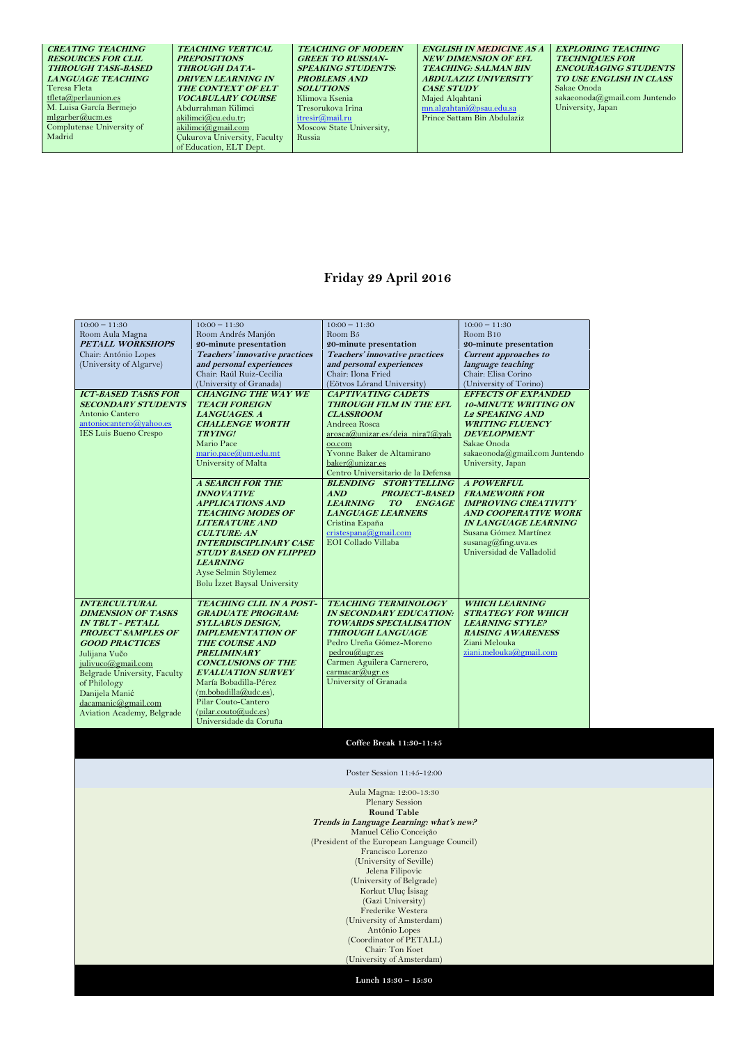| <b>CREATING TEACHING</b>  | <b>TEACHING VERTICAL</b>            | <b>TEACHING OF MODERN</b> | <b>ENGLISH IN MEDICINE AS A</b> | <b>EXPLORING TEACHING</b>      |
|---------------------------|-------------------------------------|---------------------------|---------------------------------|--------------------------------|
| <b>RESOURCES FOR CLIL</b> | <b>PREPOSITIONS</b>                 | <b>GREEK TO RUSSIAN-</b>  | <b>NEW DIMENSION OF EFL</b>     | <b>TECHNIQUES FOR</b>          |
| <b>THROUGH TASK-BASED</b> | <b>THROUGH DATA-</b>                | <b>SPEAKING STUDENTS:</b> | <b>TEACHING: SALMAN BIN</b>     | <b>ENCOURAGING STUDENTS</b>    |
| <b>LANGUAGE TEACHING</b>  | <b>DRIVEN LEARNING IN</b>           | <b>PROBLEMS AND</b>       | <b>ABDULAZIZ UNIVERSITY</b>     | <b>TO USE ENGLISH IN CLASS</b> |
| Teresa Fleta              | THE CONTEXT OF ELT                  | <b>SOLUTIONS</b>          | <b>CASE STUDY</b>               | Sakae Onoda                    |
| tfleta@perlaunion.es      | <b>VOCABULARY COURSE</b>            | Klimova Ksenia            | Majed Alqahtani                 | sakaeonoda@gmail.com Juntendo  |
| M. Luisa García Bermejo   | Abdurrahman Kilimci                 | Tresorukova Irina         | mn.algahtani@psau.edu.sa        | University, Japan              |
| mlgarber@ucm.es           | akilimci $@$ cu.edu.tr;             | itresir@mail.ru           | Prince Sattam Bin Abdulaziz     |                                |
| Complutense University of | akilimci@gmail.com                  | Moscow State University,  |                                 |                                |
| Madrid                    | <b>Cukurova University, Faculty</b> | Russia                    |                                 |                                |
|                           | of Education, ELT Dept.             |                           |                                 |                                |

## **Friday 29 April 2016**

| $10:00 - 11:30$<br>$10:00 - 11:30$<br>$10:00 - 11:30$<br>$10:00 - 11:30$<br>Room B <sub>5</sub><br>Room Aula Magna<br>Room Andrés Manjón<br>Room B <sub>10</sub><br><b>PETALL WORKSHOPS</b><br>20-minute presentation<br>20-minute presentation<br>20-minute presentation<br>Chair: António Lopes<br>Teachers' innovative practices<br>Teachers' innovative practices<br><b>Current approaches to</b><br>(University of Algarve)<br>and personal experiences<br>and personal experiences<br>language teaching<br>Chair: Raúl Ruiz-Cecilia<br>Chair: Elisa Corino<br>Chair: Ilona Fried<br>(University of Granada)<br>(Eötvos Lórand University)<br>(University of Torino)<br><b>ICT-BASED TASKS FOR</b><br><b>CHANGING THE WAY WE</b><br><b>CAPTIVATING CADETS</b><br><b>EFFECTS OF EXPANDED</b><br><b>SECONDARY STUDENTS</b><br><b>THROUGH FILM IN THE EFL</b><br><b>TEACH FOREIGN</b><br><b>10-MINUTE WRITING ON</b><br>Antonio Cantero<br><b>CLASSROOM</b><br>LANGUAGES. A<br><b>L2 SPEAKING AND</b><br>antoniocantero@yahoo.es<br>Andreea Rosca<br><b>CHALLENGE WORTH</b><br><b>WRITING FLUENCY</b><br><b>IES Luis Bueno Crespo</b><br>arosca@unizar.es/deia nira7@yah<br><b>TRYING!</b><br><b>DEVELOPMENT</b><br>Mario Pace<br>Sakae Onoda<br>oo.com<br>Yvonne Baker de Altamirano<br>mario.pace@um.edu.mt<br>sakaeonoda@gmail.com Juntendo<br>baker@unizar.es<br>University of Malta<br>University, Japan<br>Centro Universitario de la Defensa<br><b>BLENDING STORYTELLING</b><br><b>A POWERFUL</b><br><b>A SEARCH FOR THE</b><br><b>PROJECT-BASED</b><br><b>FRAMEWORK FOR</b><br><b>INNOVATIVE</b><br>AND<br><b>ENGAGE</b><br><b>APPLICATIONS AND</b><br><b>LEARNING</b><br>TO<br><b>IMPROVING CREATIVITY</b><br><b>TEACHING MODES OF</b><br><b>LANGUAGE LEARNERS</b><br><b>AND COOPERATIVE WORK</b><br>Cristina España<br><b>LITERATURE AND</b><br><b>IN LANGUAGE LEARNING</b><br>cristespana@gmail.com<br>Susana Gómez Martínez<br><b>CULTURE: AN</b><br>EOI Collado Villaba<br>susanag@fing.uva.es<br><b>INTERDISCIPLINARY CASE</b><br>Universidad de Valladolid<br><b>STUDY BASED ON FLIPPED</b><br><b>LEARNING</b><br>Ayse Selmin Söylemez<br>Bolu İzzet Baysal University<br><b>INTERCULTURAL</b><br>TEACHING CLIL IN A POST-<br><b>TEACHING TERMINOLOGY</b><br><b>WHICH LEARNING</b><br><b>GRADUATE PROGRAM:</b><br><b>IN SECONDARY EDUCATION:</b><br><b>STRATEGY FOR WHICH</b><br><b>DIMENSION OF TASKS</b><br><b>IN TBLT - PETALL</b><br><b>SYLLABUS DESIGN,</b><br><b>TOWARDS SPECIALISATION</b><br><b>LEARNING STYLE?</b><br><b>PROJECT SAMPLES OF</b><br>THROUGH LANGUAGE<br><b>RAISING AWARENESS</b><br><b>IMPLEMENTATION OF</b><br>Pedro Ureña Gómez-Moreno<br><b>GOOD PRACTICES</b><br>Ziani Melouka<br><b>THE COURSE AND</b><br>ziani.melouka@gmail.com<br>pedrou@ugr.es<br>PRELIMINARY<br>Julijana Vučo |                    |                           |                            |  |
|----------------------------------------------------------------------------------------------------------------------------------------------------------------------------------------------------------------------------------------------------------------------------------------------------------------------------------------------------------------------------------------------------------------------------------------------------------------------------------------------------------------------------------------------------------------------------------------------------------------------------------------------------------------------------------------------------------------------------------------------------------------------------------------------------------------------------------------------------------------------------------------------------------------------------------------------------------------------------------------------------------------------------------------------------------------------------------------------------------------------------------------------------------------------------------------------------------------------------------------------------------------------------------------------------------------------------------------------------------------------------------------------------------------------------------------------------------------------------------------------------------------------------------------------------------------------------------------------------------------------------------------------------------------------------------------------------------------------------------------------------------------------------------------------------------------------------------------------------------------------------------------------------------------------------------------------------------------------------------------------------------------------------------------------------------------------------------------------------------------------------------------------------------------------------------------------------------------------------------------------------------------------------------------------------------------------------------------------------------------------------------------------------------------------------------------------------------------------------------------------------------------------------------------------------------------------------------------------------------------------------------------------------------------------------------------------------------------------------------------------------------------------------------------------------------------------------------|--------------------|---------------------------|----------------------------|--|
|                                                                                                                                                                                                                                                                                                                                                                                                                                                                                                                                                                                                                                                                                                                                                                                                                                                                                                                                                                                                                                                                                                                                                                                                                                                                                                                                                                                                                                                                                                                                                                                                                                                                                                                                                                                                                                                                                                                                                                                                                                                                                                                                                                                                                                                                                                                                                                                                                                                                                                                                                                                                                                                                                                                                                                                                                                  |                    |                           |                            |  |
|                                                                                                                                                                                                                                                                                                                                                                                                                                                                                                                                                                                                                                                                                                                                                                                                                                                                                                                                                                                                                                                                                                                                                                                                                                                                                                                                                                                                                                                                                                                                                                                                                                                                                                                                                                                                                                                                                                                                                                                                                                                                                                                                                                                                                                                                                                                                                                                                                                                                                                                                                                                                                                                                                                                                                                                                                                  |                    |                           |                            |  |
|                                                                                                                                                                                                                                                                                                                                                                                                                                                                                                                                                                                                                                                                                                                                                                                                                                                                                                                                                                                                                                                                                                                                                                                                                                                                                                                                                                                                                                                                                                                                                                                                                                                                                                                                                                                                                                                                                                                                                                                                                                                                                                                                                                                                                                                                                                                                                                                                                                                                                                                                                                                                                                                                                                                                                                                                                                  |                    |                           |                            |  |
|                                                                                                                                                                                                                                                                                                                                                                                                                                                                                                                                                                                                                                                                                                                                                                                                                                                                                                                                                                                                                                                                                                                                                                                                                                                                                                                                                                                                                                                                                                                                                                                                                                                                                                                                                                                                                                                                                                                                                                                                                                                                                                                                                                                                                                                                                                                                                                                                                                                                                                                                                                                                                                                                                                                                                                                                                                  |                    |                           |                            |  |
|                                                                                                                                                                                                                                                                                                                                                                                                                                                                                                                                                                                                                                                                                                                                                                                                                                                                                                                                                                                                                                                                                                                                                                                                                                                                                                                                                                                                                                                                                                                                                                                                                                                                                                                                                                                                                                                                                                                                                                                                                                                                                                                                                                                                                                                                                                                                                                                                                                                                                                                                                                                                                                                                                                                                                                                                                                  |                    |                           |                            |  |
|                                                                                                                                                                                                                                                                                                                                                                                                                                                                                                                                                                                                                                                                                                                                                                                                                                                                                                                                                                                                                                                                                                                                                                                                                                                                                                                                                                                                                                                                                                                                                                                                                                                                                                                                                                                                                                                                                                                                                                                                                                                                                                                                                                                                                                                                                                                                                                                                                                                                                                                                                                                                                                                                                                                                                                                                                                  |                    |                           |                            |  |
|                                                                                                                                                                                                                                                                                                                                                                                                                                                                                                                                                                                                                                                                                                                                                                                                                                                                                                                                                                                                                                                                                                                                                                                                                                                                                                                                                                                                                                                                                                                                                                                                                                                                                                                                                                                                                                                                                                                                                                                                                                                                                                                                                                                                                                                                                                                                                                                                                                                                                                                                                                                                                                                                                                                                                                                                                                  |                    |                           |                            |  |
|                                                                                                                                                                                                                                                                                                                                                                                                                                                                                                                                                                                                                                                                                                                                                                                                                                                                                                                                                                                                                                                                                                                                                                                                                                                                                                                                                                                                                                                                                                                                                                                                                                                                                                                                                                                                                                                                                                                                                                                                                                                                                                                                                                                                                                                                                                                                                                                                                                                                                                                                                                                                                                                                                                                                                                                                                                  |                    |                           |                            |  |
|                                                                                                                                                                                                                                                                                                                                                                                                                                                                                                                                                                                                                                                                                                                                                                                                                                                                                                                                                                                                                                                                                                                                                                                                                                                                                                                                                                                                                                                                                                                                                                                                                                                                                                                                                                                                                                                                                                                                                                                                                                                                                                                                                                                                                                                                                                                                                                                                                                                                                                                                                                                                                                                                                                                                                                                                                                  |                    |                           |                            |  |
|                                                                                                                                                                                                                                                                                                                                                                                                                                                                                                                                                                                                                                                                                                                                                                                                                                                                                                                                                                                                                                                                                                                                                                                                                                                                                                                                                                                                                                                                                                                                                                                                                                                                                                                                                                                                                                                                                                                                                                                                                                                                                                                                                                                                                                                                                                                                                                                                                                                                                                                                                                                                                                                                                                                                                                                                                                  |                    |                           |                            |  |
|                                                                                                                                                                                                                                                                                                                                                                                                                                                                                                                                                                                                                                                                                                                                                                                                                                                                                                                                                                                                                                                                                                                                                                                                                                                                                                                                                                                                                                                                                                                                                                                                                                                                                                                                                                                                                                                                                                                                                                                                                                                                                                                                                                                                                                                                                                                                                                                                                                                                                                                                                                                                                                                                                                                                                                                                                                  |                    |                           |                            |  |
|                                                                                                                                                                                                                                                                                                                                                                                                                                                                                                                                                                                                                                                                                                                                                                                                                                                                                                                                                                                                                                                                                                                                                                                                                                                                                                                                                                                                                                                                                                                                                                                                                                                                                                                                                                                                                                                                                                                                                                                                                                                                                                                                                                                                                                                                                                                                                                                                                                                                                                                                                                                                                                                                                                                                                                                                                                  |                    |                           |                            |  |
|                                                                                                                                                                                                                                                                                                                                                                                                                                                                                                                                                                                                                                                                                                                                                                                                                                                                                                                                                                                                                                                                                                                                                                                                                                                                                                                                                                                                                                                                                                                                                                                                                                                                                                                                                                                                                                                                                                                                                                                                                                                                                                                                                                                                                                                                                                                                                                                                                                                                                                                                                                                                                                                                                                                                                                                                                                  |                    |                           |                            |  |
|                                                                                                                                                                                                                                                                                                                                                                                                                                                                                                                                                                                                                                                                                                                                                                                                                                                                                                                                                                                                                                                                                                                                                                                                                                                                                                                                                                                                                                                                                                                                                                                                                                                                                                                                                                                                                                                                                                                                                                                                                                                                                                                                                                                                                                                                                                                                                                                                                                                                                                                                                                                                                                                                                                                                                                                                                                  |                    |                           |                            |  |
|                                                                                                                                                                                                                                                                                                                                                                                                                                                                                                                                                                                                                                                                                                                                                                                                                                                                                                                                                                                                                                                                                                                                                                                                                                                                                                                                                                                                                                                                                                                                                                                                                                                                                                                                                                                                                                                                                                                                                                                                                                                                                                                                                                                                                                                                                                                                                                                                                                                                                                                                                                                                                                                                                                                                                                                                                                  |                    |                           |                            |  |
|                                                                                                                                                                                                                                                                                                                                                                                                                                                                                                                                                                                                                                                                                                                                                                                                                                                                                                                                                                                                                                                                                                                                                                                                                                                                                                                                                                                                                                                                                                                                                                                                                                                                                                                                                                                                                                                                                                                                                                                                                                                                                                                                                                                                                                                                                                                                                                                                                                                                                                                                                                                                                                                                                                                                                                                                                                  |                    |                           |                            |  |
|                                                                                                                                                                                                                                                                                                                                                                                                                                                                                                                                                                                                                                                                                                                                                                                                                                                                                                                                                                                                                                                                                                                                                                                                                                                                                                                                                                                                                                                                                                                                                                                                                                                                                                                                                                                                                                                                                                                                                                                                                                                                                                                                                                                                                                                                                                                                                                                                                                                                                                                                                                                                                                                                                                                                                                                                                                  |                    |                           |                            |  |
|                                                                                                                                                                                                                                                                                                                                                                                                                                                                                                                                                                                                                                                                                                                                                                                                                                                                                                                                                                                                                                                                                                                                                                                                                                                                                                                                                                                                                                                                                                                                                                                                                                                                                                                                                                                                                                                                                                                                                                                                                                                                                                                                                                                                                                                                                                                                                                                                                                                                                                                                                                                                                                                                                                                                                                                                                                  |                    |                           |                            |  |
|                                                                                                                                                                                                                                                                                                                                                                                                                                                                                                                                                                                                                                                                                                                                                                                                                                                                                                                                                                                                                                                                                                                                                                                                                                                                                                                                                                                                                                                                                                                                                                                                                                                                                                                                                                                                                                                                                                                                                                                                                                                                                                                                                                                                                                                                                                                                                                                                                                                                                                                                                                                                                                                                                                                                                                                                                                  |                    |                           |                            |  |
|                                                                                                                                                                                                                                                                                                                                                                                                                                                                                                                                                                                                                                                                                                                                                                                                                                                                                                                                                                                                                                                                                                                                                                                                                                                                                                                                                                                                                                                                                                                                                                                                                                                                                                                                                                                                                                                                                                                                                                                                                                                                                                                                                                                                                                                                                                                                                                                                                                                                                                                                                                                                                                                                                                                                                                                                                                  |                    |                           |                            |  |
|                                                                                                                                                                                                                                                                                                                                                                                                                                                                                                                                                                                                                                                                                                                                                                                                                                                                                                                                                                                                                                                                                                                                                                                                                                                                                                                                                                                                                                                                                                                                                                                                                                                                                                                                                                                                                                                                                                                                                                                                                                                                                                                                                                                                                                                                                                                                                                                                                                                                                                                                                                                                                                                                                                                                                                                                                                  |                    |                           |                            |  |
|                                                                                                                                                                                                                                                                                                                                                                                                                                                                                                                                                                                                                                                                                                                                                                                                                                                                                                                                                                                                                                                                                                                                                                                                                                                                                                                                                                                                                                                                                                                                                                                                                                                                                                                                                                                                                                                                                                                                                                                                                                                                                                                                                                                                                                                                                                                                                                                                                                                                                                                                                                                                                                                                                                                                                                                                                                  |                    |                           |                            |  |
|                                                                                                                                                                                                                                                                                                                                                                                                                                                                                                                                                                                                                                                                                                                                                                                                                                                                                                                                                                                                                                                                                                                                                                                                                                                                                                                                                                                                                                                                                                                                                                                                                                                                                                                                                                                                                                                                                                                                                                                                                                                                                                                                                                                                                                                                                                                                                                                                                                                                                                                                                                                                                                                                                                                                                                                                                                  |                    |                           |                            |  |
|                                                                                                                                                                                                                                                                                                                                                                                                                                                                                                                                                                                                                                                                                                                                                                                                                                                                                                                                                                                                                                                                                                                                                                                                                                                                                                                                                                                                                                                                                                                                                                                                                                                                                                                                                                                                                                                                                                                                                                                                                                                                                                                                                                                                                                                                                                                                                                                                                                                                                                                                                                                                                                                                                                                                                                                                                                  |                    |                           |                            |  |
|                                                                                                                                                                                                                                                                                                                                                                                                                                                                                                                                                                                                                                                                                                                                                                                                                                                                                                                                                                                                                                                                                                                                                                                                                                                                                                                                                                                                                                                                                                                                                                                                                                                                                                                                                                                                                                                                                                                                                                                                                                                                                                                                                                                                                                                                                                                                                                                                                                                                                                                                                                                                                                                                                                                                                                                                                                  |                    |                           |                            |  |
|                                                                                                                                                                                                                                                                                                                                                                                                                                                                                                                                                                                                                                                                                                                                                                                                                                                                                                                                                                                                                                                                                                                                                                                                                                                                                                                                                                                                                                                                                                                                                                                                                                                                                                                                                                                                                                                                                                                                                                                                                                                                                                                                                                                                                                                                                                                                                                                                                                                                                                                                                                                                                                                                                                                                                                                                                                  |                    |                           |                            |  |
|                                                                                                                                                                                                                                                                                                                                                                                                                                                                                                                                                                                                                                                                                                                                                                                                                                                                                                                                                                                                                                                                                                                                                                                                                                                                                                                                                                                                                                                                                                                                                                                                                                                                                                                                                                                                                                                                                                                                                                                                                                                                                                                                                                                                                                                                                                                                                                                                                                                                                                                                                                                                                                                                                                                                                                                                                                  |                    |                           |                            |  |
|                                                                                                                                                                                                                                                                                                                                                                                                                                                                                                                                                                                                                                                                                                                                                                                                                                                                                                                                                                                                                                                                                                                                                                                                                                                                                                                                                                                                                                                                                                                                                                                                                                                                                                                                                                                                                                                                                                                                                                                                                                                                                                                                                                                                                                                                                                                                                                                                                                                                                                                                                                                                                                                                                                                                                                                                                                  |                    |                           |                            |  |
|                                                                                                                                                                                                                                                                                                                                                                                                                                                                                                                                                                                                                                                                                                                                                                                                                                                                                                                                                                                                                                                                                                                                                                                                                                                                                                                                                                                                                                                                                                                                                                                                                                                                                                                                                                                                                                                                                                                                                                                                                                                                                                                                                                                                                                                                                                                                                                                                                                                                                                                                                                                                                                                                                                                                                                                                                                  |                    |                           |                            |  |
|                                                                                                                                                                                                                                                                                                                                                                                                                                                                                                                                                                                                                                                                                                                                                                                                                                                                                                                                                                                                                                                                                                                                                                                                                                                                                                                                                                                                                                                                                                                                                                                                                                                                                                                                                                                                                                                                                                                                                                                                                                                                                                                                                                                                                                                                                                                                                                                                                                                                                                                                                                                                                                                                                                                                                                                                                                  |                    |                           |                            |  |
|                                                                                                                                                                                                                                                                                                                                                                                                                                                                                                                                                                                                                                                                                                                                                                                                                                                                                                                                                                                                                                                                                                                                                                                                                                                                                                                                                                                                                                                                                                                                                                                                                                                                                                                                                                                                                                                                                                                                                                                                                                                                                                                                                                                                                                                                                                                                                                                                                                                                                                                                                                                                                                                                                                                                                                                                                                  |                    |                           |                            |  |
|                                                                                                                                                                                                                                                                                                                                                                                                                                                                                                                                                                                                                                                                                                                                                                                                                                                                                                                                                                                                                                                                                                                                                                                                                                                                                                                                                                                                                                                                                                                                                                                                                                                                                                                                                                                                                                                                                                                                                                                                                                                                                                                                                                                                                                                                                                                                                                                                                                                                                                                                                                                                                                                                                                                                                                                                                                  |                    |                           |                            |  |
|                                                                                                                                                                                                                                                                                                                                                                                                                                                                                                                                                                                                                                                                                                                                                                                                                                                                                                                                                                                                                                                                                                                                                                                                                                                                                                                                                                                                                                                                                                                                                                                                                                                                                                                                                                                                                                                                                                                                                                                                                                                                                                                                                                                                                                                                                                                                                                                                                                                                                                                                                                                                                                                                                                                                                                                                                                  |                    |                           |                            |  |
|                                                                                                                                                                                                                                                                                                                                                                                                                                                                                                                                                                                                                                                                                                                                                                                                                                                                                                                                                                                                                                                                                                                                                                                                                                                                                                                                                                                                                                                                                                                                                                                                                                                                                                                                                                                                                                                                                                                                                                                                                                                                                                                                                                                                                                                                                                                                                                                                                                                                                                                                                                                                                                                                                                                                                                                                                                  |                    |                           |                            |  |
|                                                                                                                                                                                                                                                                                                                                                                                                                                                                                                                                                                                                                                                                                                                                                                                                                                                                                                                                                                                                                                                                                                                                                                                                                                                                                                                                                                                                                                                                                                                                                                                                                                                                                                                                                                                                                                                                                                                                                                                                                                                                                                                                                                                                                                                                                                                                                                                                                                                                                                                                                                                                                                                                                                                                                                                                                                  | julivuco@gmail.com | <b>CONCLUSIONS OF THE</b> | Carmen Aguilera Carnerero, |  |
| carrmacar@ugr.es<br>Belgrade University, Faculty<br><b>EVALUATION SURVEY</b>                                                                                                                                                                                                                                                                                                                                                                                                                                                                                                                                                                                                                                                                                                                                                                                                                                                                                                                                                                                                                                                                                                                                                                                                                                                                                                                                                                                                                                                                                                                                                                                                                                                                                                                                                                                                                                                                                                                                                                                                                                                                                                                                                                                                                                                                                                                                                                                                                                                                                                                                                                                                                                                                                                                                                     |                    |                           |                            |  |
| University of Granada<br>María Bobadilla-Pérez<br>of Philology                                                                                                                                                                                                                                                                                                                                                                                                                                                                                                                                                                                                                                                                                                                                                                                                                                                                                                                                                                                                                                                                                                                                                                                                                                                                                                                                                                                                                                                                                                                                                                                                                                                                                                                                                                                                                                                                                                                                                                                                                                                                                                                                                                                                                                                                                                                                                                                                                                                                                                                                                                                                                                                                                                                                                                   |                    |                           |                            |  |
| (m.bobadilla@udc. es),<br>Danijela Manić                                                                                                                                                                                                                                                                                                                                                                                                                                                                                                                                                                                                                                                                                                                                                                                                                                                                                                                                                                                                                                                                                                                                                                                                                                                                                                                                                                                                                                                                                                                                                                                                                                                                                                                                                                                                                                                                                                                                                                                                                                                                                                                                                                                                                                                                                                                                                                                                                                                                                                                                                                                                                                                                                                                                                                                         |                    |                           |                            |  |
| Pilar Couto-Cantero<br>dacamanic@gmail.com                                                                                                                                                                                                                                                                                                                                                                                                                                                                                                                                                                                                                                                                                                                                                                                                                                                                                                                                                                                                                                                                                                                                                                                                                                                                                                                                                                                                                                                                                                                                                                                                                                                                                                                                                                                                                                                                                                                                                                                                                                                                                                                                                                                                                                                                                                                                                                                                                                                                                                                                                                                                                                                                                                                                                                                       |                    |                           |                            |  |
| (pilar.couto@udc.es)<br>Aviation Academy, Belgrade                                                                                                                                                                                                                                                                                                                                                                                                                                                                                                                                                                                                                                                                                                                                                                                                                                                                                                                                                                                                                                                                                                                                                                                                                                                                                                                                                                                                                                                                                                                                                                                                                                                                                                                                                                                                                                                                                                                                                                                                                                                                                                                                                                                                                                                                                                                                                                                                                                                                                                                                                                                                                                                                                                                                                                               |                    |                           |                            |  |
| Universidade da Coruña                                                                                                                                                                                                                                                                                                                                                                                                                                                                                                                                                                                                                                                                                                                                                                                                                                                                                                                                                                                                                                                                                                                                                                                                                                                                                                                                                                                                                                                                                                                                                                                                                                                                                                                                                                                                                                                                                                                                                                                                                                                                                                                                                                                                                                                                                                                                                                                                                                                                                                                                                                                                                                                                                                                                                                                                           |                    |                           |                            |  |

**Coffee Break 11:30-11:45**

Poster Session 11:45-12:00

**Lunch 13:30 – 15:30**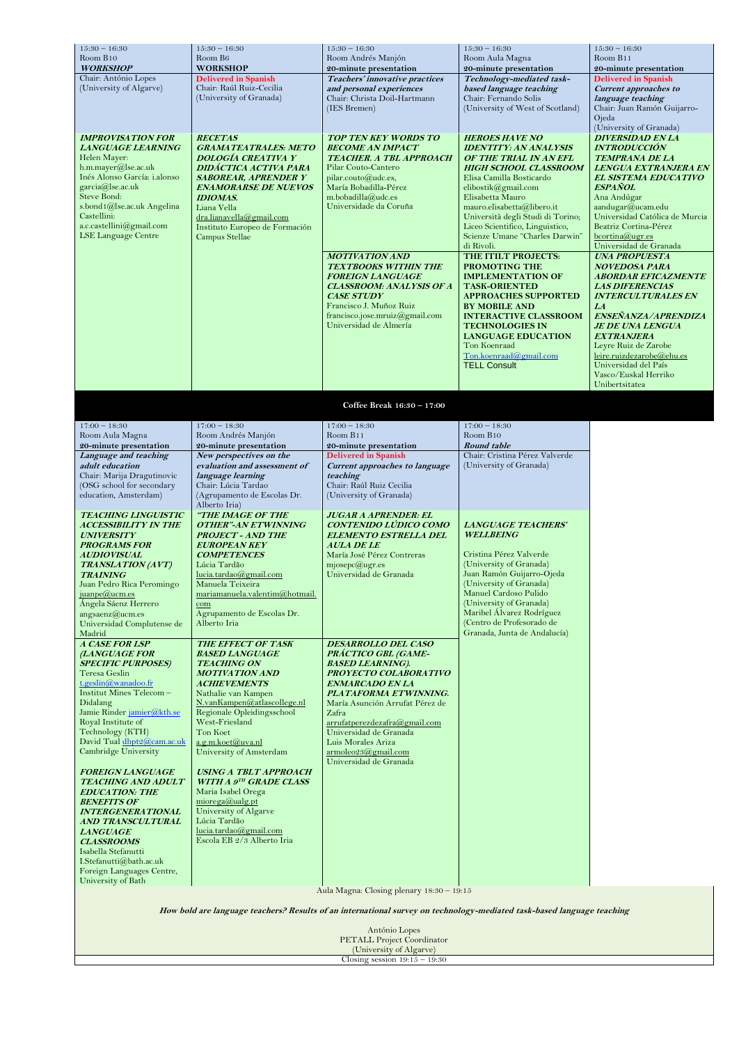| $15:30 - 16:30$                                                                                                                                                                                                                                                                                                                                                                                                                                                                                                                                                                                                                                                                                                                                                                                                                                                                | $15:30 - 16:30$                                                                                                                                                                                                                                                                                                                                                                                                                                                                                                                                                                                                                                                                                                                                                                        | $15:30 - 16:30$                                                                                                                                                                                                                                                                                                                                                                                                                                                                                                               | $15:30 - 16:30$                                                                                                                                                                                                                                                                                                                                                                                                                                                                                                                                                                                                                                         | $15:30 - 16:30$                                                                                                                                                                                                                                                                                                                                                                                                                                                                                                                                                                                                                   |
|--------------------------------------------------------------------------------------------------------------------------------------------------------------------------------------------------------------------------------------------------------------------------------------------------------------------------------------------------------------------------------------------------------------------------------------------------------------------------------------------------------------------------------------------------------------------------------------------------------------------------------------------------------------------------------------------------------------------------------------------------------------------------------------------------------------------------------------------------------------------------------|----------------------------------------------------------------------------------------------------------------------------------------------------------------------------------------------------------------------------------------------------------------------------------------------------------------------------------------------------------------------------------------------------------------------------------------------------------------------------------------------------------------------------------------------------------------------------------------------------------------------------------------------------------------------------------------------------------------------------------------------------------------------------------------|-------------------------------------------------------------------------------------------------------------------------------------------------------------------------------------------------------------------------------------------------------------------------------------------------------------------------------------------------------------------------------------------------------------------------------------------------------------------------------------------------------------------------------|---------------------------------------------------------------------------------------------------------------------------------------------------------------------------------------------------------------------------------------------------------------------------------------------------------------------------------------------------------------------------------------------------------------------------------------------------------------------------------------------------------------------------------------------------------------------------------------------------------------------------------------------------------|-----------------------------------------------------------------------------------------------------------------------------------------------------------------------------------------------------------------------------------------------------------------------------------------------------------------------------------------------------------------------------------------------------------------------------------------------------------------------------------------------------------------------------------------------------------------------------------------------------------------------------------|
| Room B10                                                                                                                                                                                                                                                                                                                                                                                                                                                                                                                                                                                                                                                                                                                                                                                                                                                                       | Room B <sub>6</sub>                                                                                                                                                                                                                                                                                                                                                                                                                                                                                                                                                                                                                                                                                                                                                                    | Room Andrés Manjón                                                                                                                                                                                                                                                                                                                                                                                                                                                                                                            | Room Aula Magna                                                                                                                                                                                                                                                                                                                                                                                                                                                                                                                                                                                                                                         | Room B11                                                                                                                                                                                                                                                                                                                                                                                                                                                                                                                                                                                                                          |
| <b>WORKSHOP</b>                                                                                                                                                                                                                                                                                                                                                                                                                                                                                                                                                                                                                                                                                                                                                                                                                                                                | <b>WORKSHOP</b>                                                                                                                                                                                                                                                                                                                                                                                                                                                                                                                                                                                                                                                                                                                                                                        | 20-minute presentation                                                                                                                                                                                                                                                                                                                                                                                                                                                                                                        | 20-minute presentation                                                                                                                                                                                                                                                                                                                                                                                                                                                                                                                                                                                                                                  | 20-minute presentation                                                                                                                                                                                                                                                                                                                                                                                                                                                                                                                                                                                                            |
| Chair: António Lopes<br>(University of Algarve)                                                                                                                                                                                                                                                                                                                                                                                                                                                                                                                                                                                                                                                                                                                                                                                                                                | <b>Delivered in Spanish</b><br>Chair: Raúl Ruiz-Cecilia<br>(University of Granada)                                                                                                                                                                                                                                                                                                                                                                                                                                                                                                                                                                                                                                                                                                     | Teachers' innovative practices<br>and personal experiences<br>Chair: Christa Doil-Hartmann<br>(IES Bremen)                                                                                                                                                                                                                                                                                                                                                                                                                    | Technology-mediated task-<br>based language teaching<br>Chair: Fernando Solis<br>(University of West of Scotland)                                                                                                                                                                                                                                                                                                                                                                                                                                                                                                                                       | <b>Delivered in Spanish</b><br><b>Current approaches to</b><br>language teaching<br>Chair: Juan Ramón Guijarro-<br>Ojeda<br>(University of Granada)                                                                                                                                                                                                                                                                                                                                                                                                                                                                               |
| <b>IMPROVISATION FOR</b><br><b>LANGUAGE LEARNING</b><br>Helen Mayer:<br>h.m.mayer@lse.ac.uk<br>Inés Alonso García: i.alonso<br>garcia@lse.ac.uk<br>Steve Bond:<br>s.bond1@lse.ac.uk Angelina<br>Castellini:<br>a.c.castellini@gmail.com<br><b>LSE Language Centre</b>                                                                                                                                                                                                                                                                                                                                                                                                                                                                                                                                                                                                          | <b>RECETAS</b><br><b>GRAMATEATRALES: METO</b><br>DOLOGÍA CREATIVA Y<br>DIDÁCTICA ACTIVA PARA<br><b>SABOREAR, APRENDER Y</b><br><b>ENAMORARSE DE NUEVOS</b><br><b>IDIOMAS.</b><br>Liana Vella<br>dra.lianavella@gmail.com<br>Instituto Europeo de Formación<br>Campus Stellae                                                                                                                                                                                                                                                                                                                                                                                                                                                                                                           | <b>TOP TEN KEY WORDS TO</b><br><b>BECOME AN IMPACT</b><br>TEACHER. A TBL APPROACH<br>Pilar Couto-Cantero<br>pilar.couto@udc.es,<br>María Bobadilla-Pérez<br>m.bobadilla@udc.es<br>Universidade da Coruña<br><b>MOTIVATION AND</b><br><b>TEXTBOOKS WITHIN THE</b><br><b>FOREIGN LANGUAGE</b><br><b>CLASSROOM: ANALYSIS OF A</b><br><b>CASE STUDY</b><br>Francisco J. Muñoz Ruiz<br>francisco.jose.mruiz@gmail.com<br>Universidad de Almería                                                                                    | <b>HEROES HAVE NO</b><br><b>IDENTITY: AN ANALYSIS</b><br>OF THE TRIAL IN AN EFL<br><b>HIGH SCHOOL CLASSROOM</b><br>Elisa Camilla Bosticardo<br>elibostik@gmail.com<br>Elisabetta Mauro<br>mauro.elisabetta@libero.it<br>Università degli Studi di Torino;<br>Liceo Scientifico, Linguistico,<br>Scienze Umane "Charles Darwin"<br>di Rivoli.<br>THE ITILT PROJECTS:<br>PROMOTING THE<br><b>IMPLEMENTATION OF</b><br><b>TASK-ORIENTED</b><br><b>APPROACHES SUPPORTED</b><br><b>BY MOBILE AND</b><br><b>INTERACTIVE CLASSROOM</b><br><b>TECHNOLOGIES IN</b><br><b>LANGUAGE EDUCATION</b><br>Ton Koenraad<br>Ton.koenraad@gmail.com<br><b>TELL Consult</b> | <b>DIVERSIDAD EN LA</b><br><b>INTRODUCCIÓN</b><br><b>TEMPRANA DE LA</b><br>LENGUA EXTRANJERA EN<br>EL SISTEMA EDUCATIVO<br><b>ESPAÑOL</b><br>Ana Andúgar<br>aandugar@ucam.edu<br>Universidad Católica de Murcia<br>Beatriz Cortina-Pérez<br>$b$ cortina@ugr.es<br>Universidad de Granada<br><b>UNA PROPUESTA</b><br><b>NOVEDOSA PARA</b><br><b>ABORDAR EFICAZMENTE</b><br><b>LAS DIFERENCIAS</b><br><b>INTERCULTURALES EN</b><br>LA<br>ENSEÑANZA/APRENDIZA<br><b>JE DE UNA LENGUA</b><br><b>EXTRANJERA</b><br>Leyre Ruiz de Zarobe<br>leire.ruizdezarobe@ehu.es<br>Universidad del País<br>Vasco/Euskal Herriko<br>Unibertsitatea |
|                                                                                                                                                                                                                                                                                                                                                                                                                                                                                                                                                                                                                                                                                                                                                                                                                                                                                |                                                                                                                                                                                                                                                                                                                                                                                                                                                                                                                                                                                                                                                                                                                                                                                        | Coffee Break 16:30 - 17:00                                                                                                                                                                                                                                                                                                                                                                                                                                                                                                    |                                                                                                                                                                                                                                                                                                                                                                                                                                                                                                                                                                                                                                                         |                                                                                                                                                                                                                                                                                                                                                                                                                                                                                                                                                                                                                                   |
|                                                                                                                                                                                                                                                                                                                                                                                                                                                                                                                                                                                                                                                                                                                                                                                                                                                                                |                                                                                                                                                                                                                                                                                                                                                                                                                                                                                                                                                                                                                                                                                                                                                                                        |                                                                                                                                                                                                                                                                                                                                                                                                                                                                                                                               |                                                                                                                                                                                                                                                                                                                                                                                                                                                                                                                                                                                                                                                         |                                                                                                                                                                                                                                                                                                                                                                                                                                                                                                                                                                                                                                   |
| $17:00 - 18:30$<br>Room Aula Magna                                                                                                                                                                                                                                                                                                                                                                                                                                                                                                                                                                                                                                                                                                                                                                                                                                             | $17:00 - 18:30$<br>Room Andrés Manjón                                                                                                                                                                                                                                                                                                                                                                                                                                                                                                                                                                                                                                                                                                                                                  | $17:00 - 18:30$<br>Room B11                                                                                                                                                                                                                                                                                                                                                                                                                                                                                                   | $17:00 - 18:30$<br>Room B10                                                                                                                                                                                                                                                                                                                                                                                                                                                                                                                                                                                                                             |                                                                                                                                                                                                                                                                                                                                                                                                                                                                                                                                                                                                                                   |
| 20-minute presentation                                                                                                                                                                                                                                                                                                                                                                                                                                                                                                                                                                                                                                                                                                                                                                                                                                                         | 20-minute presentation                                                                                                                                                                                                                                                                                                                                                                                                                                                                                                                                                                                                                                                                                                                                                                 | 20-minute presentation                                                                                                                                                                                                                                                                                                                                                                                                                                                                                                        | Round table                                                                                                                                                                                                                                                                                                                                                                                                                                                                                                                                                                                                                                             |                                                                                                                                                                                                                                                                                                                                                                                                                                                                                                                                                                                                                                   |
| Language and teaching                                                                                                                                                                                                                                                                                                                                                                                                                                                                                                                                                                                                                                                                                                                                                                                                                                                          | New perspectives on the                                                                                                                                                                                                                                                                                                                                                                                                                                                                                                                                                                                                                                                                                                                                                                | <b>Delivered in Spanish</b>                                                                                                                                                                                                                                                                                                                                                                                                                                                                                                   | Chair: Cristina Pérez Valverde                                                                                                                                                                                                                                                                                                                                                                                                                                                                                                                                                                                                                          |                                                                                                                                                                                                                                                                                                                                                                                                                                                                                                                                                                                                                                   |
| adult education<br>Chair: Marija Dragutinovic                                                                                                                                                                                                                                                                                                                                                                                                                                                                                                                                                                                                                                                                                                                                                                                                                                  | evaluation and assessment of<br>language learning                                                                                                                                                                                                                                                                                                                                                                                                                                                                                                                                                                                                                                                                                                                                      | <b>Current approaches to language</b><br>teaching                                                                                                                                                                                                                                                                                                                                                                                                                                                                             | (University of Granada)                                                                                                                                                                                                                                                                                                                                                                                                                                                                                                                                                                                                                                 |                                                                                                                                                                                                                                                                                                                                                                                                                                                                                                                                                                                                                                   |
| (OSG school for secondary                                                                                                                                                                                                                                                                                                                                                                                                                                                                                                                                                                                                                                                                                                                                                                                                                                                      | Chair: Lúcia Tardao                                                                                                                                                                                                                                                                                                                                                                                                                                                                                                                                                                                                                                                                                                                                                                    | Chair: Raúl Ruiz Cecilia                                                                                                                                                                                                                                                                                                                                                                                                                                                                                                      |                                                                                                                                                                                                                                                                                                                                                                                                                                                                                                                                                                                                                                                         |                                                                                                                                                                                                                                                                                                                                                                                                                                                                                                                                                                                                                                   |
| education, Amsterdam)                                                                                                                                                                                                                                                                                                                                                                                                                                                                                                                                                                                                                                                                                                                                                                                                                                                          | (Agrupamento de Escolas Dr.<br>Alberto Iria)                                                                                                                                                                                                                                                                                                                                                                                                                                                                                                                                                                                                                                                                                                                                           | (University of Granada)                                                                                                                                                                                                                                                                                                                                                                                                                                                                                                       |                                                                                                                                                                                                                                                                                                                                                                                                                                                                                                                                                                                                                                                         |                                                                                                                                                                                                                                                                                                                                                                                                                                                                                                                                                                                                                                   |
| <b>TEACHING LINGUISTIC</b><br><b>ACCESSIBILITY IN THE</b><br><b>UNIVERSITY</b><br><b>PROGRAMS FOR</b><br><b>AUDIOVISUAL</b><br><b>TRANSLATION (AVT)</b><br><b>TRAINING</b><br>Juan Pedro Rica Peromingo<br>juanpe@ucm.es<br>Ángela Sáenz Herrero<br>angsaenz@ucm.es<br>Universidad Complutense de<br>Madrid<br>A CASE FOR LSP<br>(LANGUAGE FOR<br><b>SPECIFIC PURPOSES)</b><br>Teresa Geslin<br>t.geslin@wanadoo.fr<br>Institut Mines Telecom-<br>Didalang<br>Jamie Rinder jamier@kth.se<br>Royal Institute of<br>Technology (KTH)<br>David Tual dhpt2@cam.ac.uk<br>Cambridge University<br><b>FOREIGN LANGUAGE</b><br><b>TEACHING AND ADULT</b><br><b>EDUCATION: THE</b><br><b>BENEFITS OF</b><br><b>INTERGENERATIONAL</b><br><b>AND TRANSCULTURAL</b><br><b>LANGUAGE</b><br><b>CLASSROOMS</b><br>Isabella Stefanutti<br>I.Stefanutti@bath.ac.uk<br>Foreign Languages Centre, | "THE IMAGE OF THE<br><b>OTHER"-AN ETWINNING</b><br><b>PROJECT - AND THE</b><br><b>EUROPEAN KEY</b><br><b>COMPETENCES</b><br>Lúcia Tardão<br>lucia.tardao@gmail.com<br>Manuela Teixeira<br>mariamanuela.valentim@hotmail.<br>com<br>Agrupamento de Escolas Dr.<br>Alberto Iria<br><b>THE EFFECT OF TASK</b><br><b>BASED LANGUAGE</b><br><b>TEACHING ON</b><br><b>MOTIVATION AND</b><br><b>ACHIEVEMENTS</b><br>Nathalie van Kampen<br>N.vanKampen@atlascollege.nl<br>Regionale Opleidingsschool<br>West-Friesland<br>Ton Koet<br>a.g.m.koet@uva.nl<br>University of Amsterdam<br><b>USING A TBLT APPROACH</b><br><b>WITH A 9TH GRADE CLASS</b><br>Maria Isabel Orega<br>microega@ualgpt<br>University of Algarve<br>Lúcia Tardão<br>lucia.tardao@gmail.com<br>Escola EB 2/3 Alberto Iria | <b>JUGAR A APRENDER: EL</b><br>CONTENIDO LÚDICO COMO<br><b>ELEMENTO ESTRELLA DEL</b><br><b>AULA DE LE</b><br>María José Pérez Contreras<br>mjosepc@ugr.es<br>Universidad de Granada<br><b>DESARROLLO DEL CASO</b><br>PRÁCTICO GBL (GAME-<br><b>BASED LEARNING).</b><br>PROYECTO COLABORATIVO<br><b>ENMARCADO EN LA</b><br>PLATAFORMA ETWINNING.<br>María Asunción Arrufat Pérez de<br>Zafra<br>arrufatperezdezafra@gmail.com<br>Universidad de Granada<br>Luis Morales Ariza<br>armoleo23@gmail.com<br>Universidad de Granada | <b>LANGUAGE TEACHERS'</b><br><b>WELLBEING</b><br>Cristina Pérez Valverde<br>(University of Granada)<br>Juan Ramón Guijarro-Ojeda<br>(University of Granada)<br>Manuel Cardoso Pulido<br>(University of Granada)<br>Maribel Álvarez Rodríguez<br>(Centro de Profesorado de<br>Granada, Junta de Andalucía)                                                                                                                                                                                                                                                                                                                                               |                                                                                                                                                                                                                                                                                                                                                                                                                                                                                                                                                                                                                                   |
| University of Bath                                                                                                                                                                                                                                                                                                                                                                                                                                                                                                                                                                                                                                                                                                                                                                                                                                                             |                                                                                                                                                                                                                                                                                                                                                                                                                                                                                                                                                                                                                                                                                                                                                                                        | Aula Magna: Closing plenary 18:30 - 19:15                                                                                                                                                                                                                                                                                                                                                                                                                                                                                     |                                                                                                                                                                                                                                                                                                                                                                                                                                                                                                                                                                                                                                                         |                                                                                                                                                                                                                                                                                                                                                                                                                                                                                                                                                                                                                                   |
| How bold are language teachers? Results of an international survey on technology-mediated task-based language teaching                                                                                                                                                                                                                                                                                                                                                                                                                                                                                                                                                                                                                                                                                                                                                         |                                                                                                                                                                                                                                                                                                                                                                                                                                                                                                                                                                                                                                                                                                                                                                                        |                                                                                                                                                                                                                                                                                                                                                                                                                                                                                                                               |                                                                                                                                                                                                                                                                                                                                                                                                                                                                                                                                                                                                                                                         |                                                                                                                                                                                                                                                                                                                                                                                                                                                                                                                                                                                                                                   |
|                                                                                                                                                                                                                                                                                                                                                                                                                                                                                                                                                                                                                                                                                                                                                                                                                                                                                | António Lopes<br><b>PETALL Project Coordinator</b>                                                                                                                                                                                                                                                                                                                                                                                                                                                                                                                                                                                                                                                                                                                                     |                                                                                                                                                                                                                                                                                                                                                                                                                                                                                                                               |                                                                                                                                                                                                                                                                                                                                                                                                                                                                                                                                                                                                                                                         |                                                                                                                                                                                                                                                                                                                                                                                                                                                                                                                                                                                                                                   |
|                                                                                                                                                                                                                                                                                                                                                                                                                                                                                                                                                                                                                                                                                                                                                                                                                                                                                |                                                                                                                                                                                                                                                                                                                                                                                                                                                                                                                                                                                                                                                                                                                                                                                        | (University of Algarve)<br>Closing session $19:15 - 19:30$                                                                                                                                                                                                                                                                                                                                                                                                                                                                    |                                                                                                                                                                                                                                                                                                                                                                                                                                                                                                                                                                                                                                                         |                                                                                                                                                                                                                                                                                                                                                                                                                                                                                                                                                                                                                                   |
|                                                                                                                                                                                                                                                                                                                                                                                                                                                                                                                                                                                                                                                                                                                                                                                                                                                                                |                                                                                                                                                                                                                                                                                                                                                                                                                                                                                                                                                                                                                                                                                                                                                                                        |                                                                                                                                                                                                                                                                                                                                                                                                                                                                                                                               |                                                                                                                                                                                                                                                                                                                                                                                                                                                                                                                                                                                                                                                         |                                                                                                                                                                                                                                                                                                                                                                                                                                                                                                                                                                                                                                   |